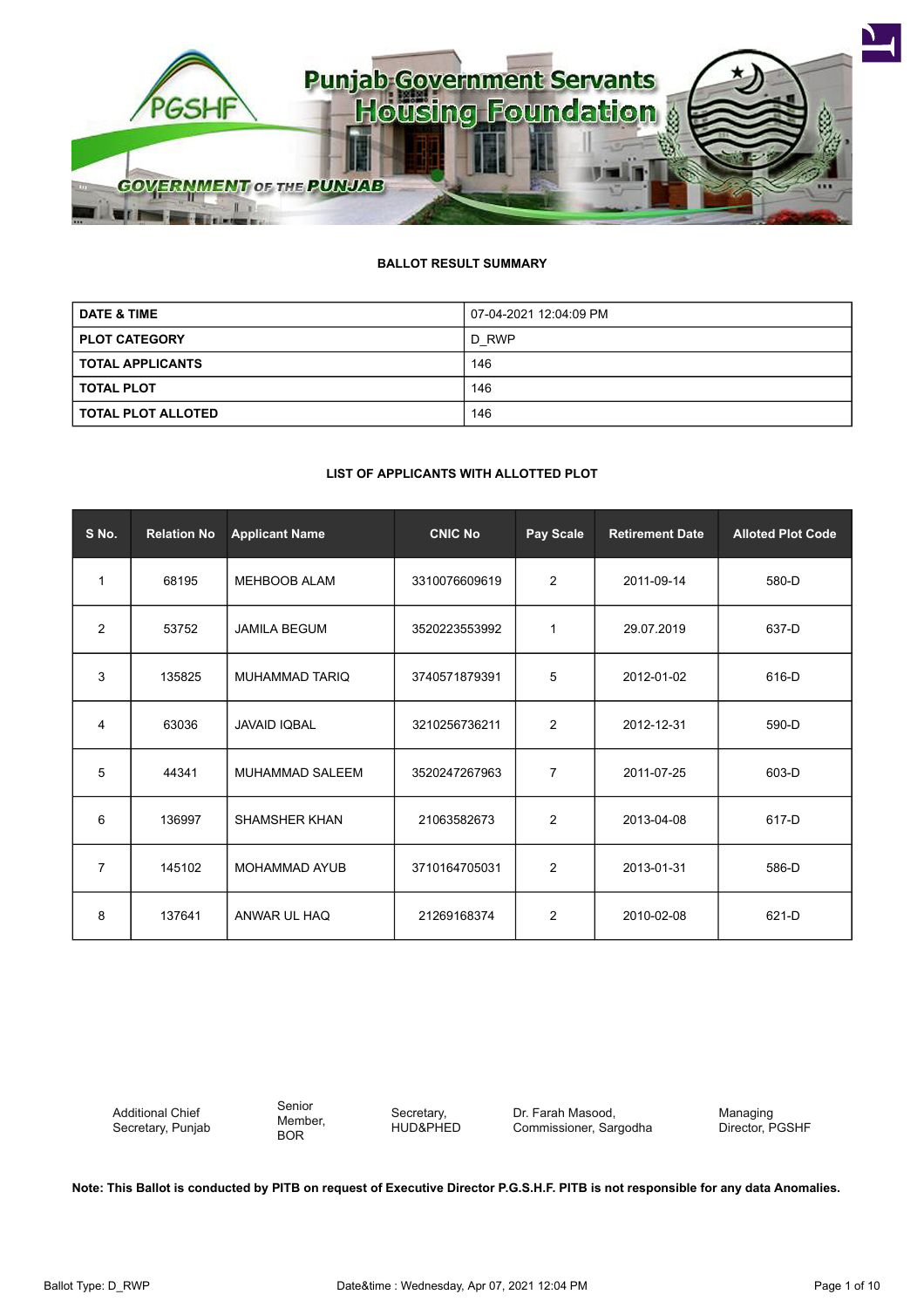

# **BALLOT RESULT SUMMARY**

| <b>DATE &amp; TIME</b>    | 07-04-2021 12:04:09 PM |  |
|---------------------------|------------------------|--|
| <b>PLOT CATEGORY</b>      | D RWP                  |  |
| <b>TOTAL APPLICANTS</b>   | 146                    |  |
| <b>TOTAL PLOT</b>         | 146                    |  |
| <b>TOTAL PLOT ALLOTED</b> | 146                    |  |

#### **LIST OF APPLICANTS WITH ALLOTTED PLOT**

| S No.          | <b>Relation No</b> | <b>Applicant Name</b>  | <b>CNIC No</b> | <b>Pay Scale</b> | <b>Retirement Date</b> | <b>Alloted Plot Code</b> |
|----------------|--------------------|------------------------|----------------|------------------|------------------------|--------------------------|
| $\mathbf{1}$   | 68195              | <b>MEHBOOB ALAM</b>    | 3310076609619  | $\overline{2}$   | 2011-09-14             | 580-D                    |
| 2              | 53752              | <b>JAMILA BEGUM</b>    | 3520223553992  | 1                | 29.07.2019             | 637-D                    |
| 3              | 135825             | <b>MUHAMMAD TARIQ</b>  | 3740571879391  | 5                | 2012-01-02             | 616-D                    |
| 4              | 63036              | <b>JAVAID IQBAL</b>    | 3210256736211  | $\overline{2}$   | 2012-12-31             | 590-D                    |
| 5              | 44341              | <b>MUHAMMAD SALEEM</b> | 3520247267963  | 7                | 2011-07-25             | 603-D                    |
| 6              | 136997             | SHAMSHER KHAN          | 21063582673    | 2                | 2013-04-08             | 617-D                    |
| $\overline{7}$ | 145102             | <b>MOHAMMAD AYUB</b>   | 3710164705031  | $\overline{2}$   | 2013-01-31             | 586-D                    |
| 8              | 137641             | ANWAR UL HAQ           | 21269168374    | $\overline{2}$   | 2010-02-08             | 621-D                    |

Additional Chief Secretary, Punjab Senior Member, BOR

Secretary, HUD&PHED Dr. Farah Masood, Commissioner, Sargodha

Managing Director, PGSHF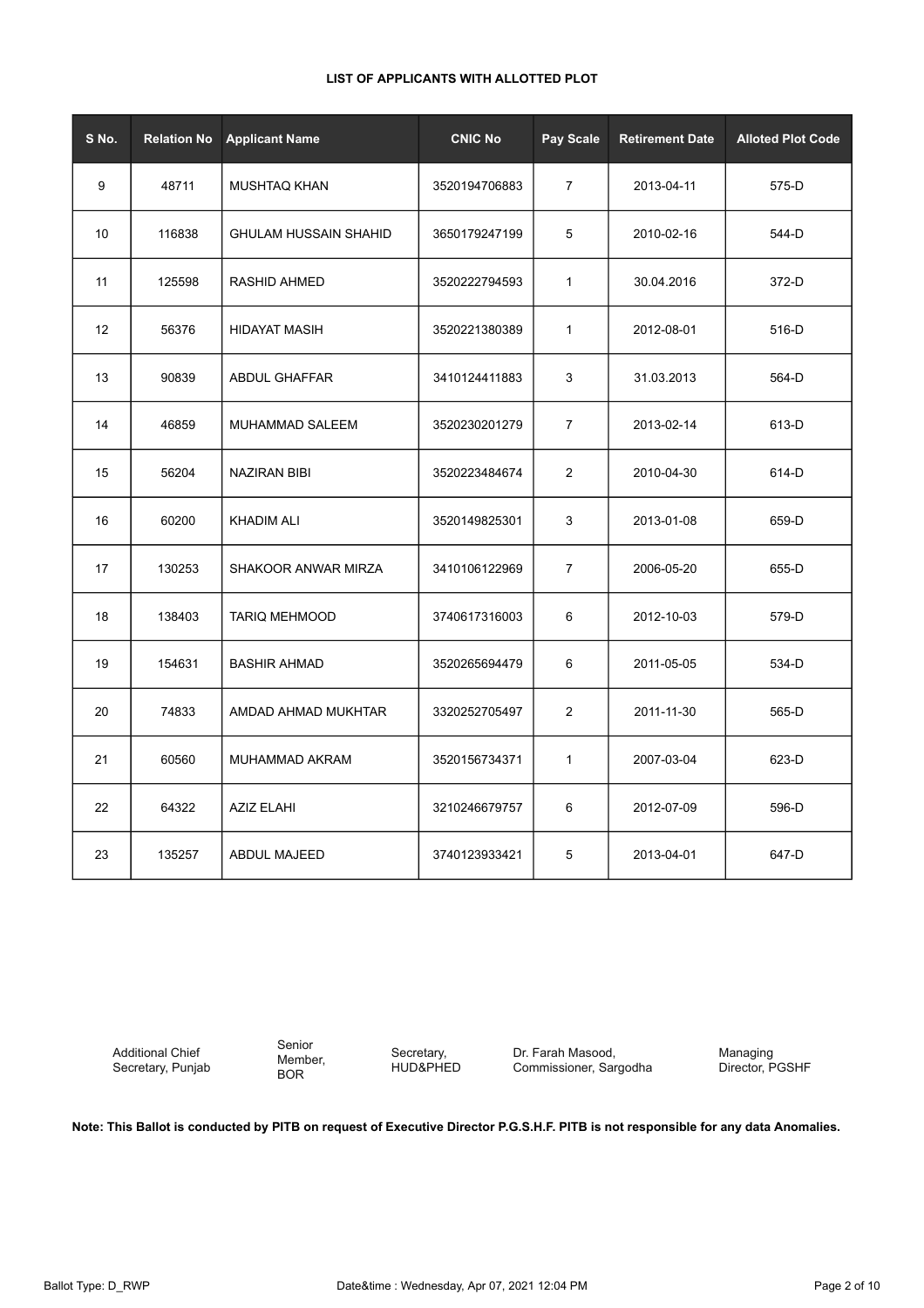| S No.           | <b>Relation No</b> | <b>Applicant Name</b>        | <b>CNIC No</b> | Pay Scale      | <b>Retirement Date</b> | <b>Alloted Plot Code</b> |
|-----------------|--------------------|------------------------------|----------------|----------------|------------------------|--------------------------|
| 9               | 48711              | MUSHTAQ KHAN                 | 3520194706883  | $\overline{7}$ | 2013-04-11             | 575-D                    |
| 10 <sup>°</sup> | 116838             | <b>GHULAM HUSSAIN SHAHID</b> | 3650179247199  | 5              | 2010-02-16             | 544-D                    |
| 11              | 125598             | <b>RASHID AHMED</b>          | 3520222794593  | $\mathbf{1}$   | 30.04.2016             | 372-D                    |
| 12              | 56376              | <b>HIDAYAT MASIH</b>         | 3520221380389  | $\mathbf{1}$   | 2012-08-01             | 516-D                    |
| 13              | 90839              | ABDUL GHAFFAR                | 3410124411883  | 3              | 31.03.2013             | 564-D                    |
| 14              | 46859              | <b>MUHAMMAD SALEEM</b>       | 3520230201279  | $\overline{7}$ | 2013-02-14             | 613-D                    |
| 15              | 56204              | <b>NAZIRAN BIBI</b>          | 3520223484674  | 2              | 2010-04-30             | 614-D                    |
| 16              | 60200              | <b>KHADIM ALI</b>            | 3520149825301  | 3              | 2013-01-08             | 659-D                    |
| 17              | 130253             | SHAKOOR ANWAR MIRZA          | 3410106122969  | $\overline{7}$ | 2006-05-20             | 655-D                    |
| 18              | 138403             | <b>TARIQ MEHMOOD</b>         | 3740617316003  | 6              | 2012-10-03             | 579-D                    |
| 19              | 154631             | <b>BASHIR AHMAD</b>          | 3520265694479  | 6              | 2011-05-05             | 534-D                    |
| 20              | 74833              | AMDAD AHMAD MUKHTAR          | 3320252705497  | 2              | 2011-11-30             | 565-D                    |
| 21              | 60560              | MUHAMMAD AKRAM               | 3520156734371  | $\mathbf{1}$   | 2007-03-04             | 623-D                    |
| 22              | 64322              | <b>AZIZ ELAHI</b>            | 3210246679757  | 6              | 2012-07-09             | 596-D                    |
| 23              | 135257             | ABDUL MAJEED                 | 3740123933421  | 5              | 2013-04-01             | 647-D                    |

Additional Chief Secretary, Punjab

Senior Member, BOR

Secretary, HUD&PHED

Dr. Farah Masood, Commissioner, Sargodha Managing Director, PGSHF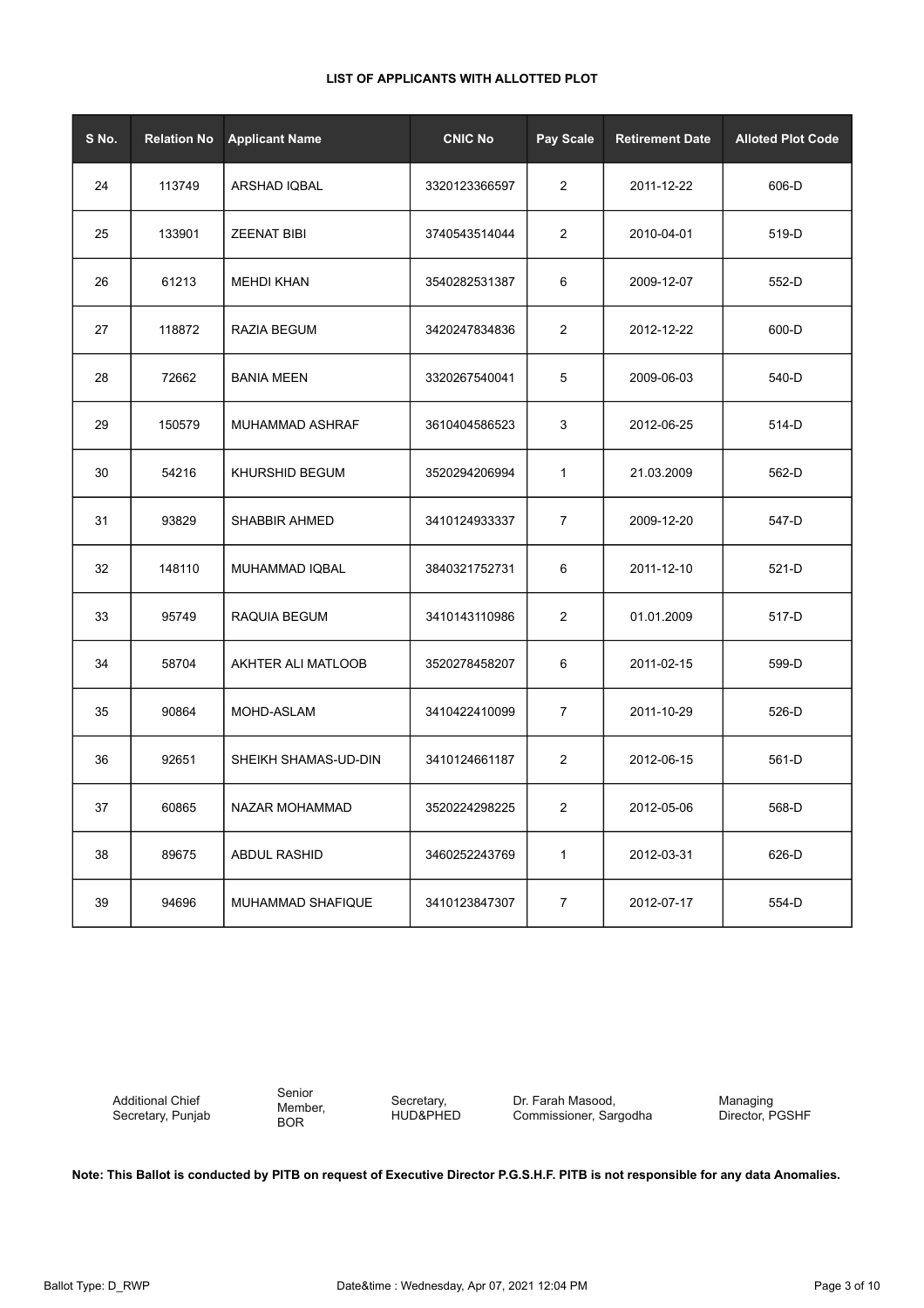|  | LIST OF APPLICANTS WITH ALLOTTED PLOT |
|--|---------------------------------------|
|--|---------------------------------------|

| S No. | <b>Relation No</b> | <b>Applicant Name</b> | <b>CNIC No</b> | Pay Scale      | <b>Retirement Date</b> | <b>Alloted Plot Code</b> |
|-------|--------------------|-----------------------|----------------|----------------|------------------------|--------------------------|
| 24    | 113749             | ARSHAD IQBAL          | 3320123366597  | $\overline{2}$ | 2011-12-22             | 606-D                    |
| 25    | 133901             | <b>ZEENAT BIBI</b>    | 3740543514044  | $\overline{c}$ | 2010-04-01             | 519-D                    |
| 26    | 61213              | MEHDI KHAN            | 3540282531387  | 6              | 2009-12-07             | 552-D                    |
| 27    | 118872             | RAZIA BEGUM           | 3420247834836  | 2              | 2012-12-22             | 600-D                    |
| 28    | 72662              | <b>BANIA MEEN</b>     | 3320267540041  | 5              | 2009-06-03             | 540-D                    |
| 29    | 150579             | MUHAMMAD ASHRAF       | 3610404586523  | 3              | 2012-06-25             | 514-D                    |
| 30    | 54216              | KHURSHID BEGUM        | 3520294206994  | 1              | 21.03.2009             | 562-D                    |
| 31    | 93829              | <b>SHABBIR AHMED</b>  | 3410124933337  | $\overline{7}$ | 2009-12-20             | 547-D                    |
| 32    | 148110             | MUHAMMAD IQBAL        | 3840321752731  | 6              | 2011-12-10             | 521-D                    |
| 33    | 95749              | RAQUIA BEGUM          | 3410143110986  | $\overline{c}$ | 01.01.2009             | 517-D                    |
| 34    | 58704              | AKHTER ALI MATLOOB    | 3520278458207  | 6              | 2011-02-15             | 599-D                    |
| 35    | 90864              | MOHD-ASLAM            | 3410422410099  | $\overline{7}$ | 2011-10-29             | 526-D                    |
| 36    | 92651              | SHEIKH SHAMAS-UD-DIN  | 3410124661187  | 2              | 2012-06-15             | 561-D                    |
| 37    | 60865              | NAZAR MOHAMMAD        | 3520224298225  | 2              | 2012-05-06             | 568-D                    |
| 38    | 89675              | <b>ABDUL RASHID</b>   | 3460252243769  | $\mathbf{1}$   | 2012-03-31             | 626-D                    |
| 39    | 94696              | MUHAMMAD SHAFIQUE     | 3410123847307  | $\overline{7}$ | 2012-07-17             | 554-D                    |

Senior Member, BOR

Secretary, HUD&PHED Dr. Farah Masood, Commissioner, Sargodha Managing Director, PGSHF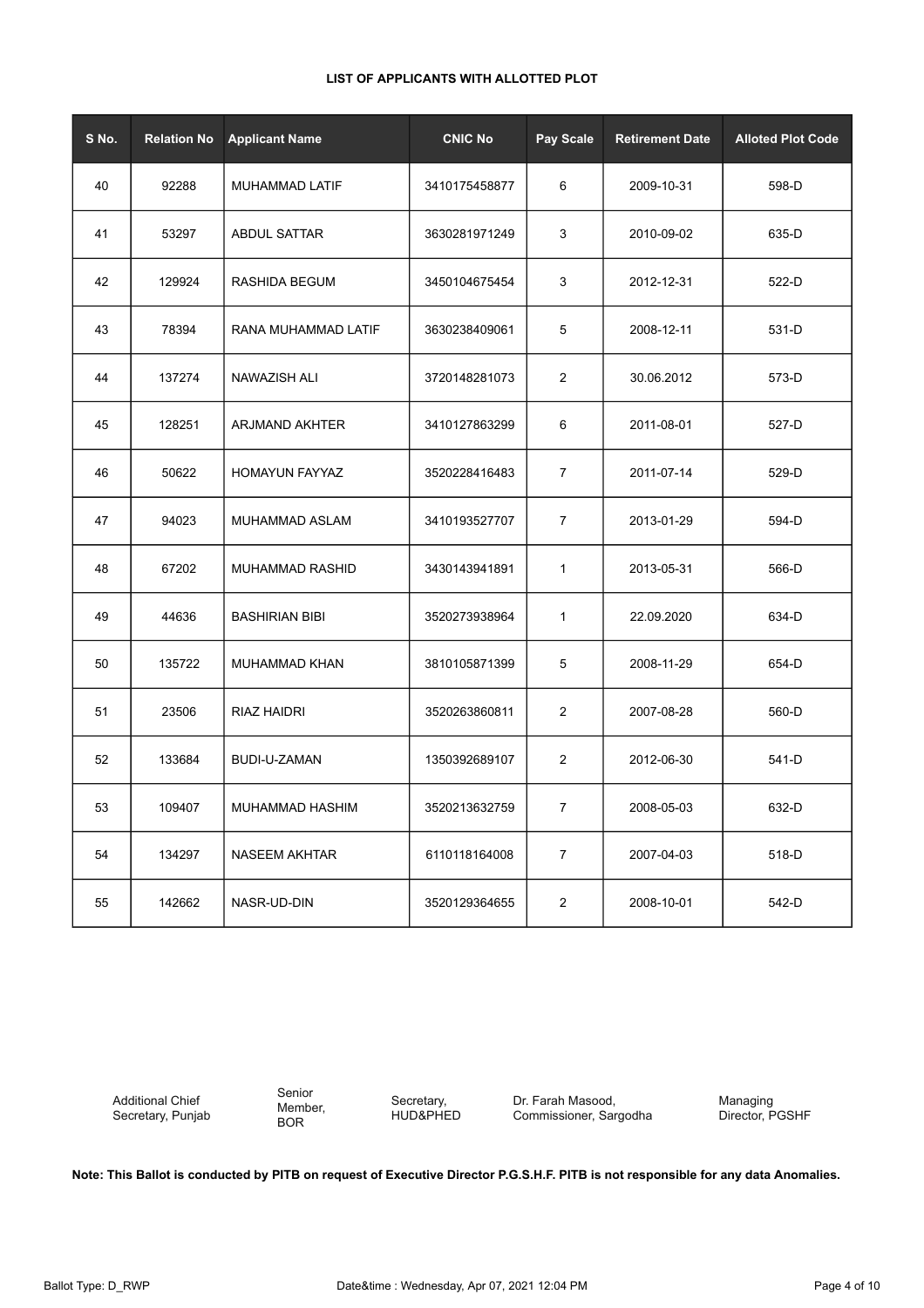| S No. | <b>Relation No</b> | <b>Applicant Name</b> | <b>CNIC No</b> | Pay Scale        | <b>Retirement Date</b> | <b>Alloted Plot Code</b> |
|-------|--------------------|-----------------------|----------------|------------------|------------------------|--------------------------|
| 40    | 92288              | MUHAMMAD LATIF        | 3410175458877  | 6                | 2009-10-31             | 598-D                    |
| 41    | 53297              | <b>ABDUL SATTAR</b>   | 3630281971249  | 3                | 2010-09-02             | 635-D                    |
| 42    | 129924             | RASHIDA BEGUM         | 3450104675454  | 3                | 2012-12-31             | 522-D                    |
| 43    | 78394              | RANA MUHAMMAD LATIF   | 3630238409061  | 5                | 2008-12-11             | 531-D                    |
| 44    | 137274             | NAWAZISH ALI          | 3720148281073  | $\overline{c}$   | 30.06.2012             | 573-D                    |
| 45    | 128251             | ARJMAND AKHTER        | 3410127863299  | 6                | 2011-08-01             | 527-D                    |
| 46    | 50622              | <b>HOMAYUN FAYYAZ</b> | 3520228416483  | $\overline{7}$   | 2011-07-14             | 529-D                    |
| 47    | 94023              | MUHAMMAD ASLAM        | 3410193527707  | 7                | 2013-01-29             | 594-D                    |
| 48    | 67202              | MUHAMMAD RASHID       | 3430143941891  | 1                | 2013-05-31             | 566-D                    |
| 49    | 44636              | <b>BASHIRIAN BIBI</b> | 3520273938964  | 1                | 22.09.2020             | 634-D                    |
| 50    | 135722             | MUHAMMAD KHAN         | 3810105871399  | 5                | 2008-11-29             | 654-D                    |
| 51    | 23506              | RIAZ HAIDRI           | 3520263860811  | $\overline{2}$   | 2007-08-28             | 560-D                    |
| 52    | 133684             | BUDI-U-ZAMAN          | 1350392689107  | $\overline{2}$   | 2012-06-30             | 541-D                    |
| 53    | 109407             | MUHAMMAD HASHIM       | 3520213632759  | 7                | 2008-05-03             | 632-D                    |
| 54    | 134297             | <b>NASEEM AKHTAR</b>  | 6110118164008  | $\boldsymbol{7}$ | 2007-04-03             | 518-D                    |
| 55    | 142662             | NASR-UD-DIN           | 3520129364655  | $\overline{c}$   | 2008-10-01             | 542-D                    |

Additional Chief Secretary, Punjab Senior Member, BOR

Secretary, HUD&PHED Dr. Farah Masood, Commissioner, Sargodha Managing Director, PGSHF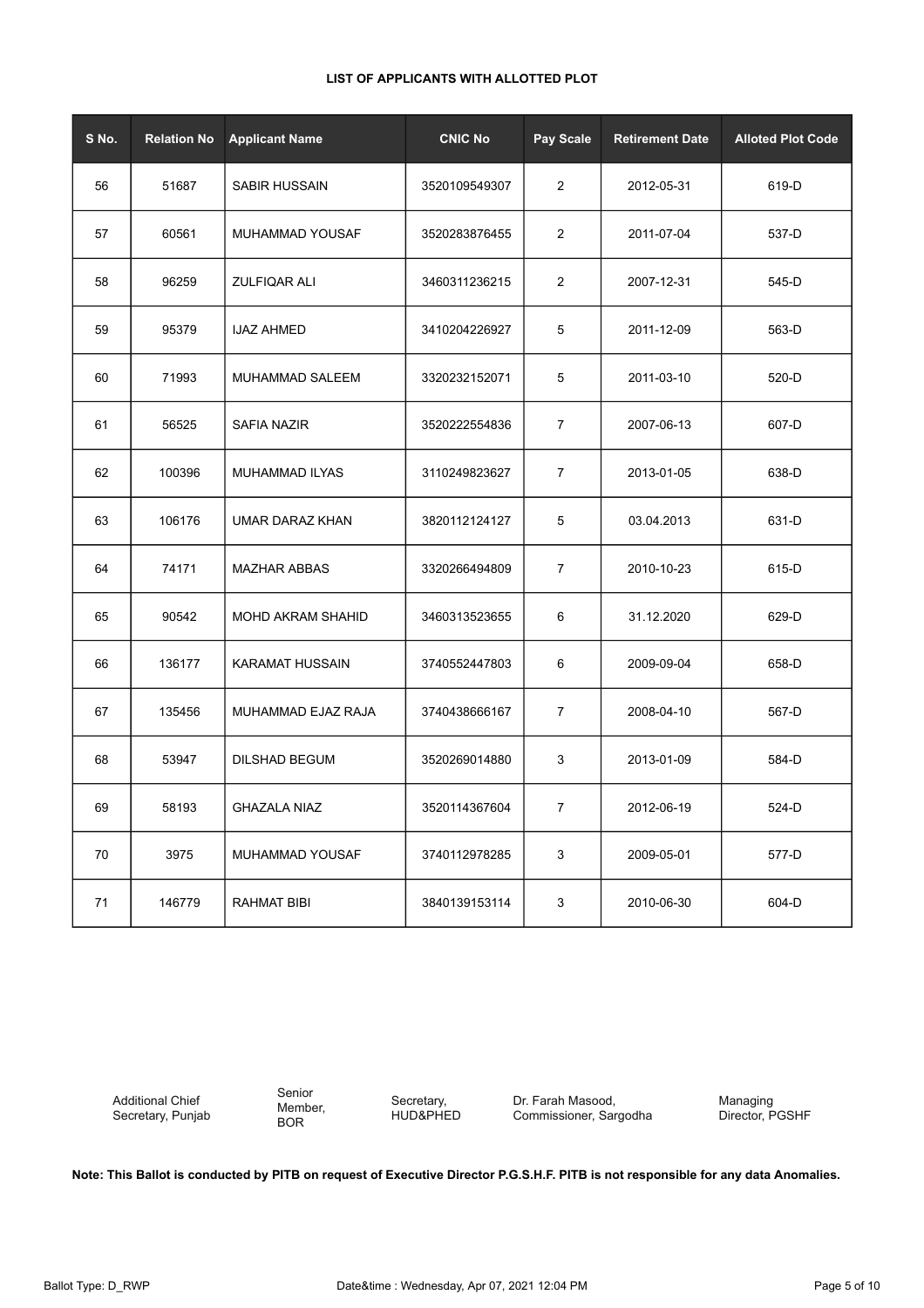|  | LIST OF APPLICANTS WITH ALLOTTED PLOT |
|--|---------------------------------------|
|--|---------------------------------------|

| S No. | <b>Relation No</b> | <b>Applicant Name</b>    | <b>CNIC No</b> | Pay Scale      | <b>Retirement Date</b> | <b>Alloted Plot Code</b> |
|-------|--------------------|--------------------------|----------------|----------------|------------------------|--------------------------|
| 56    | 51687              | <b>SABIR HUSSAIN</b>     | 3520109549307  | $\overline{2}$ | 2012-05-31             | 619-D                    |
| 57    | 60561              | MUHAMMAD YOUSAF          | 3520283876455  | $\overline{2}$ | 2011-07-04             | 537-D                    |
| 58    | 96259              | <b>ZULFIQAR ALI</b>      | 3460311236215  | $\overline{2}$ | 2007-12-31             | 545-D                    |
| 59    | 95379              | <b>IJAZ AHMED</b>        | 3410204226927  | 5              | 2011-12-09             | 563-D                    |
| 60    | 71993              | MUHAMMAD SALEEM          | 3320232152071  | 5              | 2011-03-10             | 520-D                    |
| 61    | 56525              | <b>SAFIA NAZIR</b>       | 3520222554836  | $\overline{7}$ | 2007-06-13             | 607-D                    |
| 62    | 100396             | <b>MUHAMMAD ILYAS</b>    | 3110249823627  | $\overline{7}$ | 2013-01-05             | 638-D                    |
| 63    | 106176             | UMAR DARAZ KHAN          | 3820112124127  | 5              | 03.04.2013             | 631-D                    |
| 64    | 74171              | <b>MAZHAR ABBAS</b>      | 3320266494809  | $\overline{7}$ | 2010-10-23             | 615-D                    |
| 65    | 90542              | <b>MOHD AKRAM SHAHID</b> | 3460313523655  | 6              | 31.12.2020             | 629-D                    |
| 66    | 136177             | <b>KARAMAT HUSSAIN</b>   | 3740552447803  | 6              | 2009-09-04             | 658-D                    |
| 67    | 135456             | MUHAMMAD EJAZ RAJA       | 3740438666167  | $\overline{7}$ | 2008-04-10             | 567-D                    |
| 68    | 53947              | <b>DILSHAD BEGUM</b>     | 3520269014880  | 3              | 2013-01-09             | 584-D                    |
| 69    | 58193              | <b>GHAZALA NIAZ</b>      | 3520114367604  | $\overline{7}$ | 2012-06-19             | 524-D                    |
| 70    | 3975               | MUHAMMAD YOUSAF          | 3740112978285  | 3              | 2009-05-01             | 577-D                    |
| 71    | 146779             | <b>RAHMAT BIBI</b>       | 3840139153114  | 3              | 2010-06-30             | 604-D                    |

Senior Member, BOR

Secretary, HUD&PHED Dr. Farah Masood, Commissioner, Sargodha Managing Director, PGSHF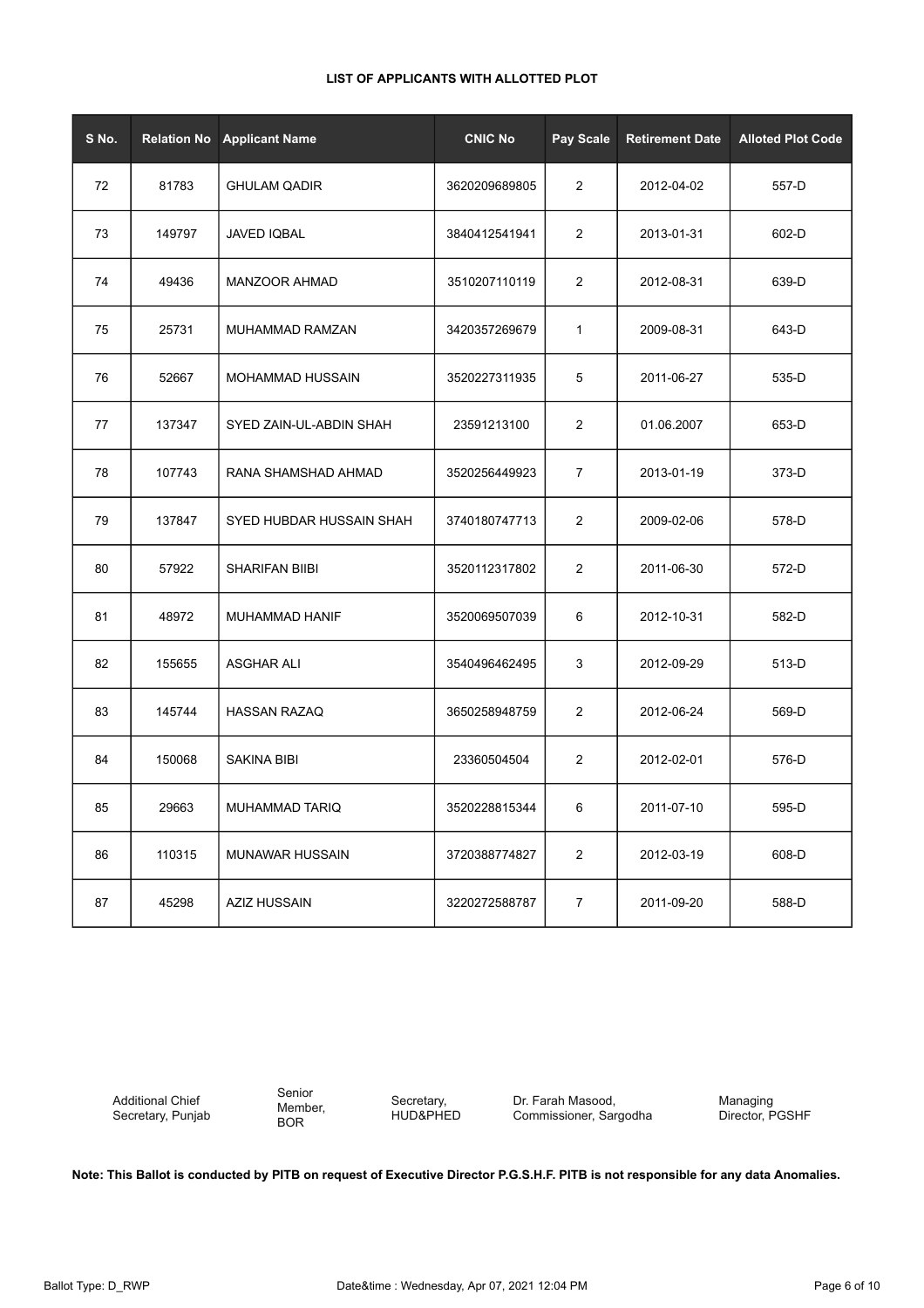| LIST OF APPLICANTS WITH ALLOTTED PLOT |  |
|---------------------------------------|--|
|---------------------------------------|--|

| S No. | <b>Relation No</b> | <b>Applicant Name</b>    | <b>CNIC No</b> | Pay Scale      | <b>Retirement Date</b> | <b>Alloted Plot Code</b> |
|-------|--------------------|--------------------------|----------------|----------------|------------------------|--------------------------|
| 72    | 81783              | <b>GHULAM QADIR</b>      | 3620209689805  | 2              | 2012-04-02             | 557-D                    |
| 73    | 149797             | <b>JAVED IQBAL</b>       | 3840412541941  | 2              | 2013-01-31             | 602-D                    |
| 74    | 49436              | <b>MANZOOR AHMAD</b>     | 3510207110119  | 2              | 2012-08-31             | 639-D                    |
| 75    | 25731              | MUHAMMAD RAMZAN          | 3420357269679  | $\mathbf{1}$   | 2009-08-31             | 643-D                    |
| 76    | 52667              | MOHAMMAD HUSSAIN         | 3520227311935  | 5              | 2011-06-27             | 535-D                    |
| 77    | 137347             | SYED ZAIN-UL-ABDIN SHAH  | 23591213100    | 2              | 01.06.2007             | 653-D                    |
| 78    | 107743             | RANA SHAMSHAD AHMAD      | 3520256449923  | $\overline{7}$ | 2013-01-19             | 373-D                    |
| 79    | 137847             | SYED HUBDAR HUSSAIN SHAH | 3740180747713  | 2              | 2009-02-06             | 578-D                    |
| 80    | 57922              | <b>SHARIFAN BIIBI</b>    | 3520112317802  | 2              | 2011-06-30             | 572-D                    |
| 81    | 48972              | MUHAMMAD HANIF           | 3520069507039  | 6              | 2012-10-31             | 582-D                    |
| 82    | 155655             | <b>ASGHAR ALI</b>        | 3540496462495  | 3              | 2012-09-29             | 513-D                    |
| 83    | 145744             | <b>HASSAN RAZAQ</b>      | 3650258948759  | 2              | 2012-06-24             | 569-D                    |
| 84    | 150068             | <b>SAKINA BIBI</b>       | 23360504504    | 2              | 2012-02-01             | 576-D                    |
| 85    | 29663              | <b>MUHAMMAD TARIQ</b>    | 3520228815344  | 6              | 2011-07-10             | 595-D                    |
| 86    | 110315             | <b>MUNAWAR HUSSAIN</b>   | 3720388774827  | 2              | 2012-03-19             | 608-D                    |
| 87    | 45298              | <b>AZIZ HUSSAIN</b>      | 3220272588787  | $\overline{7}$ | 2011-09-20             | 588-D                    |

Senior Member, BOR

Secretary, HUD&PHED Dr. Farah Masood, Commissioner, Sargodha Managing Director, PGSHF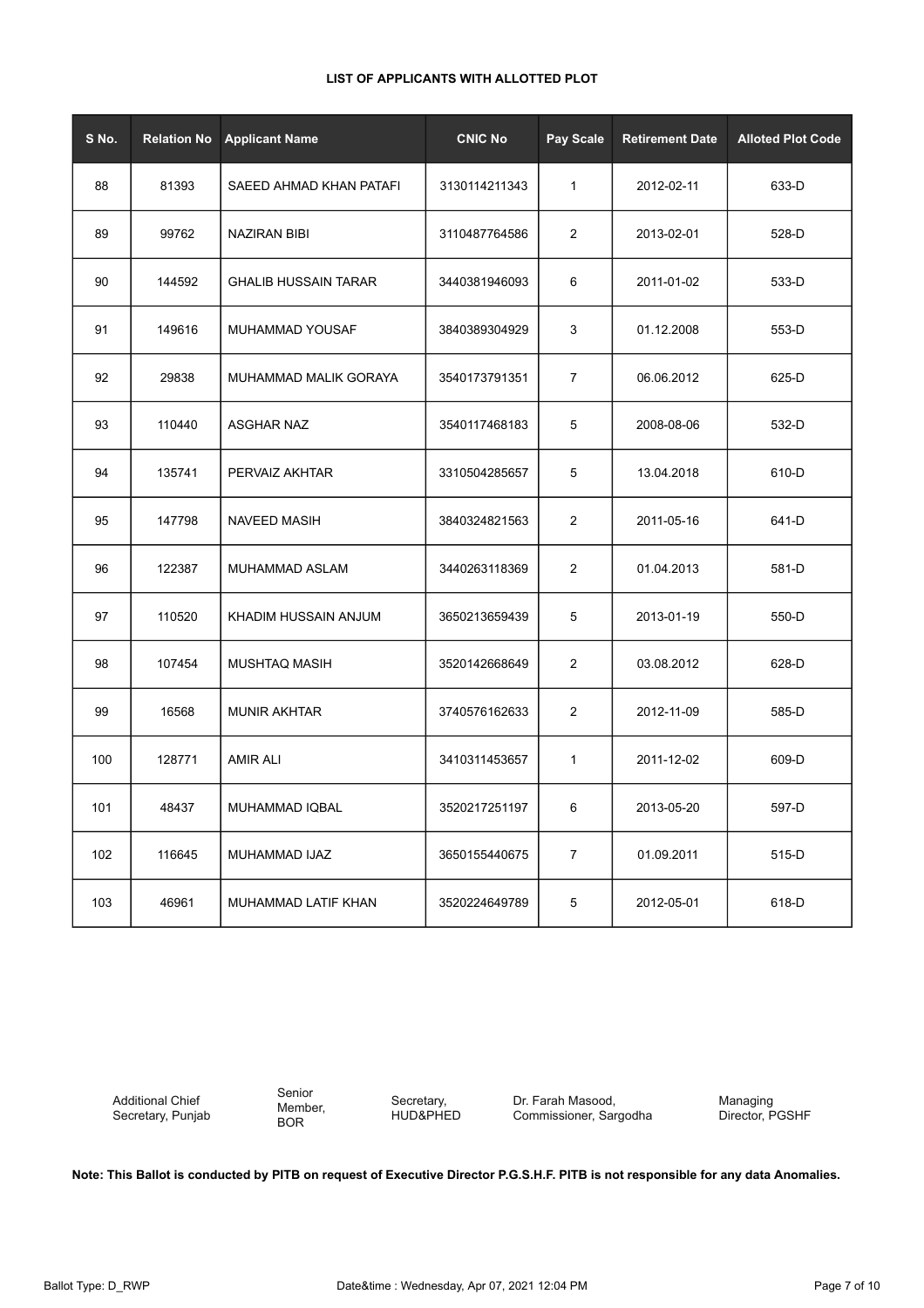| S No. | <b>Relation No</b> | <b>Applicant Name</b>       | <b>CNIC No</b> | Pay Scale      | <b>Retirement Date</b> | <b>Alloted Plot Code</b> |
|-------|--------------------|-----------------------------|----------------|----------------|------------------------|--------------------------|
| 88    | 81393              | SAEED AHMAD KHAN PATAFI     | 3130114211343  | $\mathbf{1}$   | 2012-02-11             | 633-D                    |
| 89    | 99762              | <b>NAZIRAN BIBI</b>         | 3110487764586  | 2              | 2013-02-01             | 528-D                    |
| 90    | 144592             | <b>GHALIB HUSSAIN TARAR</b> | 3440381946093  | 6              | 2011-01-02             | 533-D                    |
| 91    | 149616             | MUHAMMAD YOUSAF             | 3840389304929  | 3              | 01.12.2008             | 553-D                    |
| 92    | 29838              | MUHAMMAD MALIK GORAYA       | 3540173791351  | $\overline{7}$ | 06.06.2012             | 625-D                    |
| 93    | 110440             | <b>ASGHAR NAZ</b>           | 3540117468183  | 5              | 2008-08-06             | 532-D                    |
| 94    | 135741             | PERVAIZ AKHTAR              | 3310504285657  | 5              | 13.04.2018             | 610-D                    |
| 95    | 147798             | <b>NAVEED MASIH</b>         | 3840324821563  | 2              | 2011-05-16             | 641-D                    |
| 96    | 122387             | MUHAMMAD ASLAM              | 3440263118369  | $\overline{c}$ | 01.04.2013             | 581-D                    |
| 97    | 110520             | KHADIM HUSSAIN ANJUM        | 3650213659439  | 5              | 2013-01-19             | 550-D                    |
| 98    | 107454             | <b>MUSHTAQ MASIH</b>        | 3520142668649  | $\overline{c}$ | 03.08.2012             | 628-D                    |
| 99    | 16568              | <b>MUNIR AKHTAR</b>         | 3740576162633  | 2              | 2012-11-09             | 585-D                    |
| 100   | 128771             | <b>AMIR ALI</b>             | 3410311453657  | $\mathbf{1}$   | 2011-12-02             | 609-D                    |
| 101   | 48437              | MUHAMMAD IQBAL              | 3520217251197  | 6              | 2013-05-20             | 597-D                    |
| 102   | 116645             | <b>MUHAMMAD IJAZ</b>        | 3650155440675  | $\overline{7}$ | 01.09.2011             | 515-D                    |
| 103   | 46961              | MUHAMMAD LATIF KHAN         | 3520224649789  | 5              | 2012-05-01             | 618-D                    |

Additional Chief Secretary, Punjab Senior Member, BOR

Secretary, HUD&PHED

Dr. Farah Masood, Commissioner, Sargodha Managing Director, PGSHF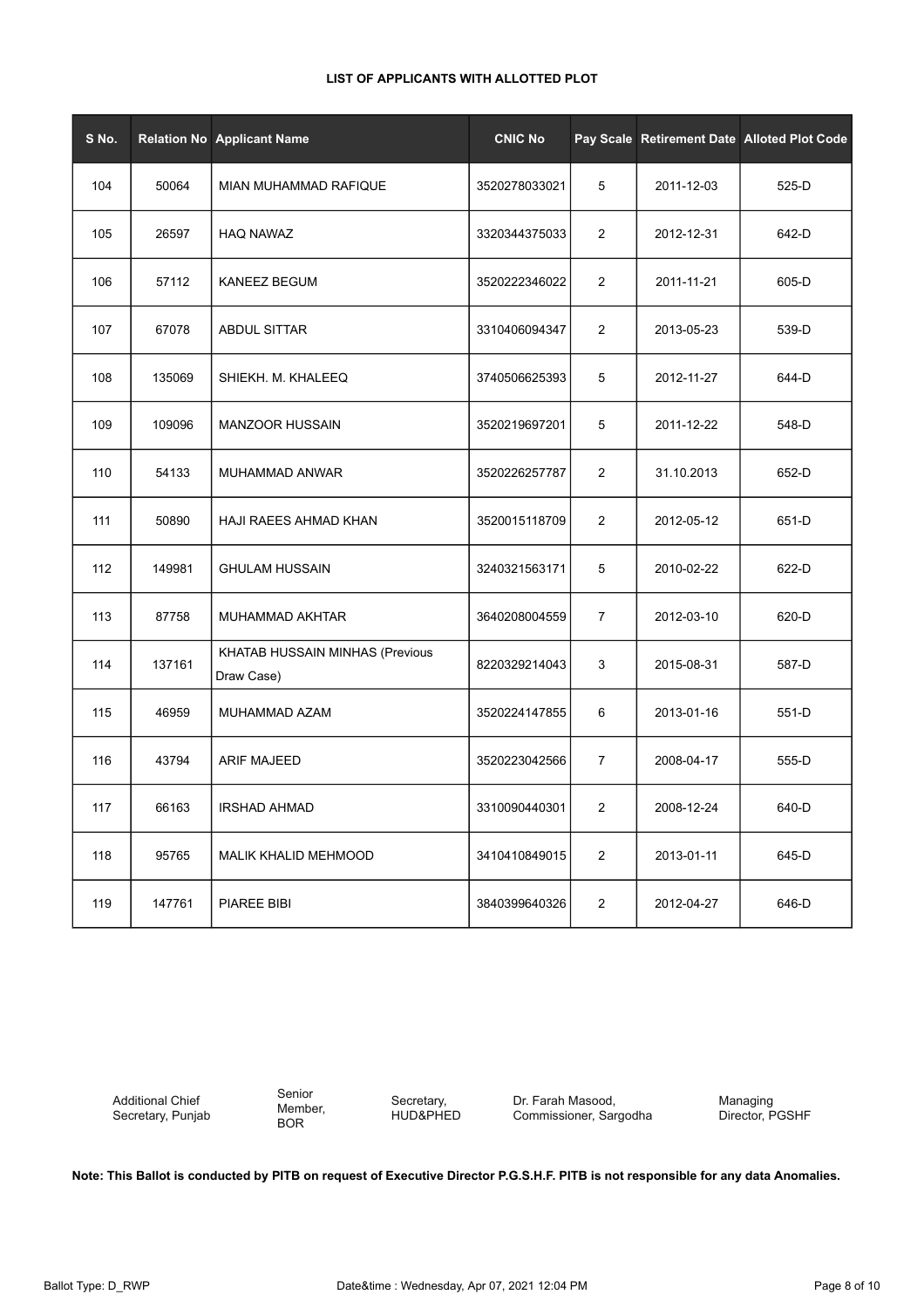| LIST OF APPLICANTS WITH ALLOTTED PLOT |  |
|---------------------------------------|--|
|---------------------------------------|--|

| S No. |        | Relation No Applicant Name                    | <b>CNIC No</b> |                |            | Pay Scale Retirement Date Alloted Plot Code |
|-------|--------|-----------------------------------------------|----------------|----------------|------------|---------------------------------------------|
| 104   | 50064  | MIAN MUHAMMAD RAFIQUE                         | 3520278033021  | 5              | 2011-12-03 | 525-D                                       |
| 105   | 26597  | <b>HAQ NAWAZ</b>                              | 3320344375033  | $\overline{2}$ | 2012-12-31 | 642-D                                       |
| 106   | 57112  | KANEEZ BEGUM                                  | 3520222346022  | $\overline{2}$ | 2011-11-21 | 605-D                                       |
| 107   | 67078  | <b>ABDUL SITTAR</b>                           | 3310406094347  | $\overline{2}$ | 2013-05-23 | 539-D                                       |
| 108   | 135069 | SHIEKH. M. KHALEEQ                            | 3740506625393  | 5              | 2012-11-27 | 644-D                                       |
| 109   | 109096 | <b>MANZOOR HUSSAIN</b>                        | 3520219697201  | 5              | 2011-12-22 | 548-D                                       |
| 110   | 54133  | MUHAMMAD ANWAR                                | 3520226257787  | $\overline{2}$ | 31.10.2013 | 652-D                                       |
| 111   | 50890  | HAJI RAEES AHMAD KHAN                         | 3520015118709  | $\overline{2}$ | 2012-05-12 | 651-D                                       |
| 112   | 149981 | <b>GHULAM HUSSAIN</b>                         | 3240321563171  | 5              | 2010-02-22 | 622-D                                       |
| 113   | 87758  | MUHAMMAD AKHTAR                               | 3640208004559  | $\overline{7}$ | 2012-03-10 | 620-D                                       |
| 114   | 137161 | KHATAB HUSSAIN MINHAS (Previous<br>Draw Case) | 8220329214043  | 3              | 2015-08-31 | 587-D                                       |
| 115   | 46959  | MUHAMMAD AZAM                                 | 3520224147855  | 6              | 2013-01-16 | 551-D                                       |
| 116   | 43794  | <b>ARIF MAJEED</b>                            | 3520223042566  | $\overline{7}$ | 2008-04-17 | 555-D                                       |
| 117   | 66163  | <b>IRSHAD AHMAD</b>                           | 3310090440301  | $\overline{2}$ | 2008-12-24 | 640-D                                       |
| 118   | 95765  | MALIK KHALID MEHMOOD                          | 3410410849015  | $\overline{2}$ | 2013-01-11 | 645-D                                       |
| 119   | 147761 | <b>PIAREE BIBI</b>                            | 3840399640326  | $\overline{2}$ | 2012-04-27 | 646-D                                       |

Senior Member, BOR

Secretary, HUD&PHED

Dr. Farah Masood, Commissioner, Sargodha Managing Director, PGSHF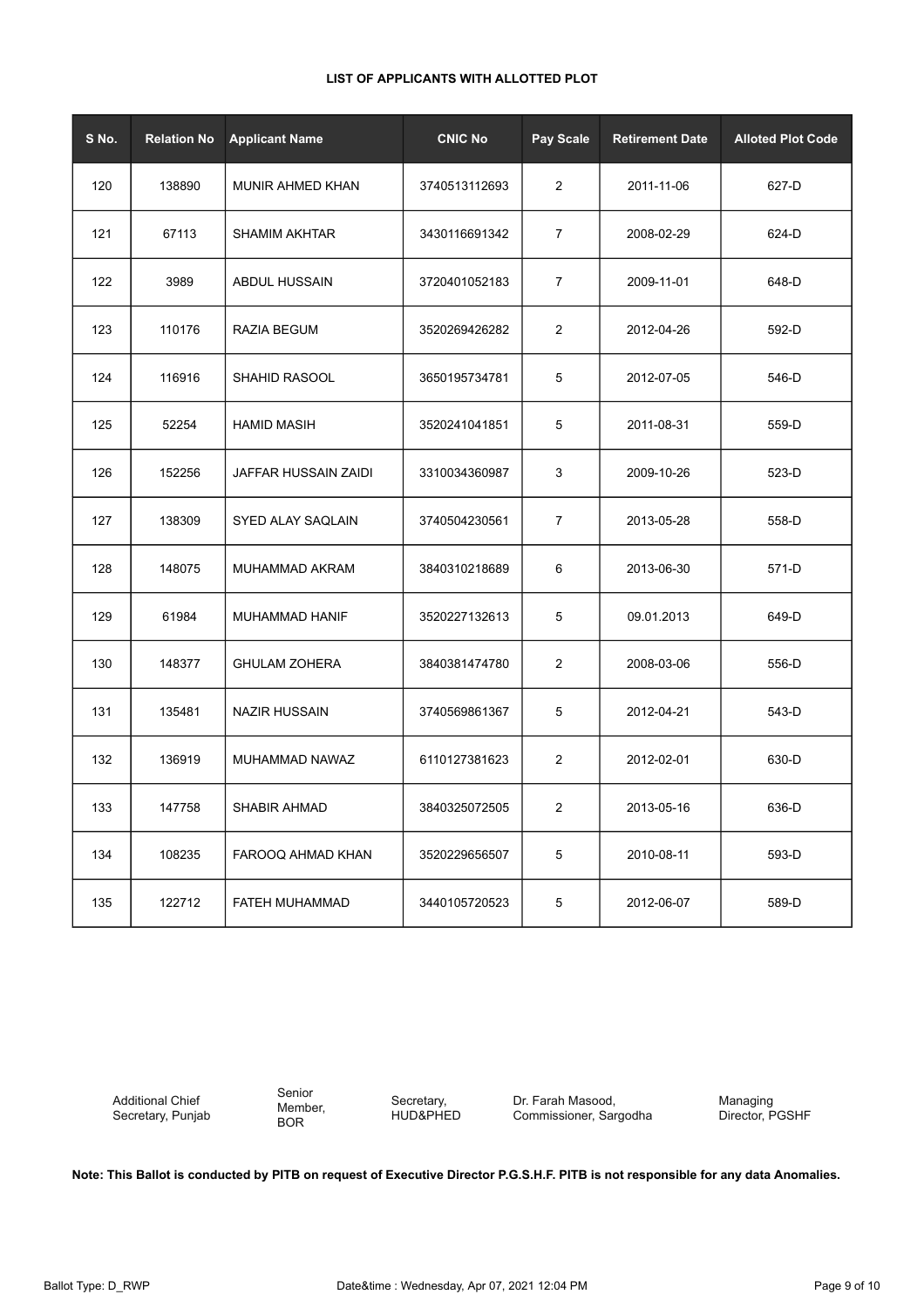| S No. | <b>Relation No</b> | <b>Applicant Name</b> | <b>CNIC No</b> | Pay Scale      | <b>Retirement Date</b> | <b>Alloted Plot Code</b> |
|-------|--------------------|-----------------------|----------------|----------------|------------------------|--------------------------|
| 120   | 138890             | MUNIR AHMED KHAN      | 3740513112693  | $\overline{2}$ | 2011-11-06             | 627-D                    |
| 121   | 67113              | <b>SHAMIM AKHTAR</b>  | 3430116691342  | 7              | 2008-02-29             | 624-D                    |
| 122   | 3989               | <b>ABDUL HUSSAIN</b>  | 3720401052183  | 7              | 2009-11-01             | 648-D                    |
| 123   | 110176             | RAZIA BEGUM           | 3520269426282  | 2              | 2012-04-26             | 592-D                    |
| 124   | 116916             | <b>SHAHID RASOOL</b>  | 3650195734781  | 5              | 2012-07-05             | 546-D                    |
| 125   | 52254              | <b>HAMID MASIH</b>    | 3520241041851  | 5              | 2011-08-31             | 559-D                    |
| 126   | 152256             | JAFFAR HUSSAIN ZAIDI  | 3310034360987  | 3              | 2009-10-26             | 523-D                    |
| 127   | 138309             | SYED ALAY SAQLAIN     | 3740504230561  | 7              | 2013-05-28             | 558-D                    |
| 128   | 148075             | MUHAMMAD AKRAM        | 3840310218689  | 6              | 2013-06-30             | 571-D                    |
| 129   | 61984              | MUHAMMAD HANIF        | 3520227132613  | 5              | 09.01.2013             | 649-D                    |
| 130   | 148377             | <b>GHULAM ZOHERA</b>  | 3840381474780  | 2              | 2008-03-06             | 556-D                    |
| 131   | 135481             | <b>NAZIR HUSSAIN</b>  | 3740569861367  | 5              | 2012-04-21             | 543-D                    |
| 132   | 136919             | MUHAMMAD NAWAZ        | 6110127381623  | 2              | 2012-02-01             | 630-D                    |
| 133   | 147758             | SHABIR AHMAD          | 3840325072505  | 2              | 2013-05-16             | 636-D                    |
| 134   | 108235             | FAROOQ AHMAD KHAN     | 3520229656507  | 5              | 2010-08-11             | 593-D                    |
| 135   | 122712             | FATEH MUHAMMAD        | 3440105720523  | $\,$ 5 $\,$    | 2012-06-07             | 589-D                    |

Additional Chief Secretary, Punjab Senior Member, BOR

Secretary, HUD&PHED Dr. Farah Masood, Commissioner, Sargodha Managing Director, PGSHF